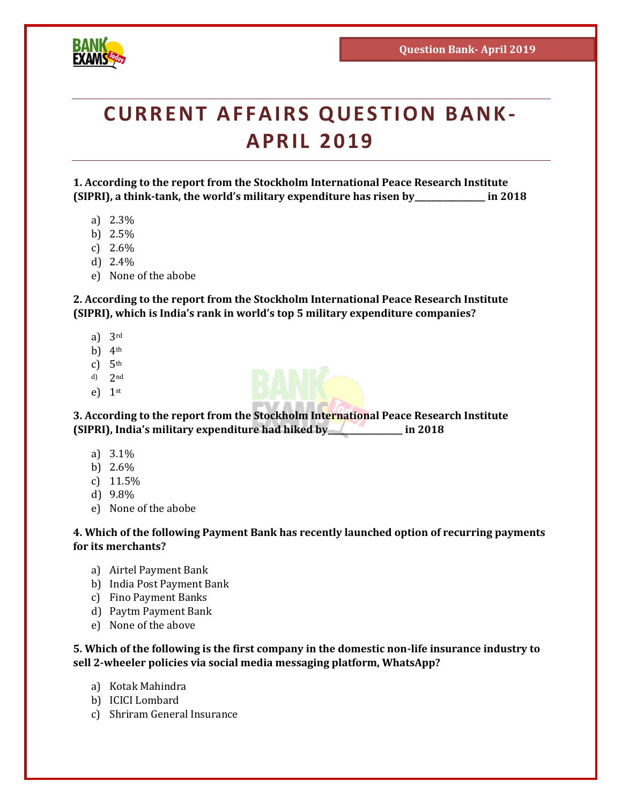

# **CURRENT AFFAIRS QUESTION BANK-APRIL 2019**

**1. According to the report from the Stockholm International Peace Research Institute (SIPRI), a think-tank, the world's military expenditure has risen by\_\_\_\_\_\_\_\_\_\_\_\_\_\_\_\_\_ in 2018**

- a) 2.3%
- b) 2.5%
- c) 2.6%
- d) 2.4%
- e) None of the abobe

**2. According to the report from the Stockholm International Peace Research Institute (SIPRI), which is India's rank in world's top 5 military expenditure companies?**

- a) 3rd
- b)  $4<sup>th</sup>$
- c)  $5<sup>th</sup>$
- d) 2nd
- e)  $1<sup>st</sup>$

**3. According to the report from the Stockholm International Peace Research Institute (SIPRI), India's military expenditure had hiked by\_\_\_\_\_\_\_\_\_\_\_\_\_\_\_\_\_\_ in 2018**

- a) 3.1%
- b) 2.6%
- c) 11.5%
- d) 9.8%
- e) None of the abobe

**4. Which of the following Payment Bank has recently launched option of recurring payments for its merchants?**

- a) Airtel Payment Bank
- b) India Post Payment Bank
- c) Fino Payment Banks
- d) Paytm Payment Bank
- e) None of the above

**5. Which of the following is the first company in the domestic non-life insurance industry to sell 2-wheeler policies via social media messaging platform, WhatsApp?**

- a) Kotak Mahindra
- b) ICICI Lombard
- c) Shriram General Insurance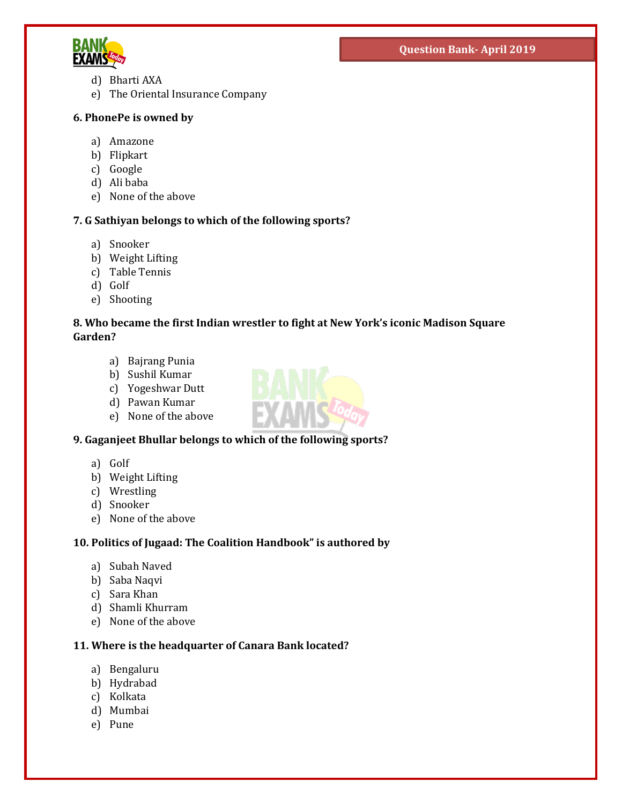

- d) Bharti AXA
- e) The Oriental Insurance Company

#### **6. PhonePe is owned by**

- a) Amazone
- b) Flipkart
- c) Google
- d) Ali baba
- e) None of the above

#### **7. G Sathiyan belongs to which of the following sports?**

- a) Snooker
- b) Weight Lifting
- c) Table Tennis
- d) Golf
- e) Shooting

#### **8. Who became the first Indian wrestler to fight at New York's iconic Madison Square Garden?**

- a) Bajrang Punia
- b) Sushil Kumar
- c) Yogeshwar Dutt
- d) Pawan Kumar
- e) None of the above

#### **9. Gaganjeet Bhullar belongs to which of the following sports?**

- a) Golf
- b) Weight Lifting
- c) Wrestling
- d) Snooker
- e) None of the above

#### **10. Politics of Jugaad: The Coalition Handbook" is authored by**

- a) Subah Naved
- b) Saba Naqvi
- c) Sara Khan
- d) Shamli Khurram
- e) None of the above

#### **11. Where is the headquarter of Canara Bank located?**

- a) Bengaluru
- b) Hydrabad
- c) Kolkata
- d) Mumbai
- e) Pune

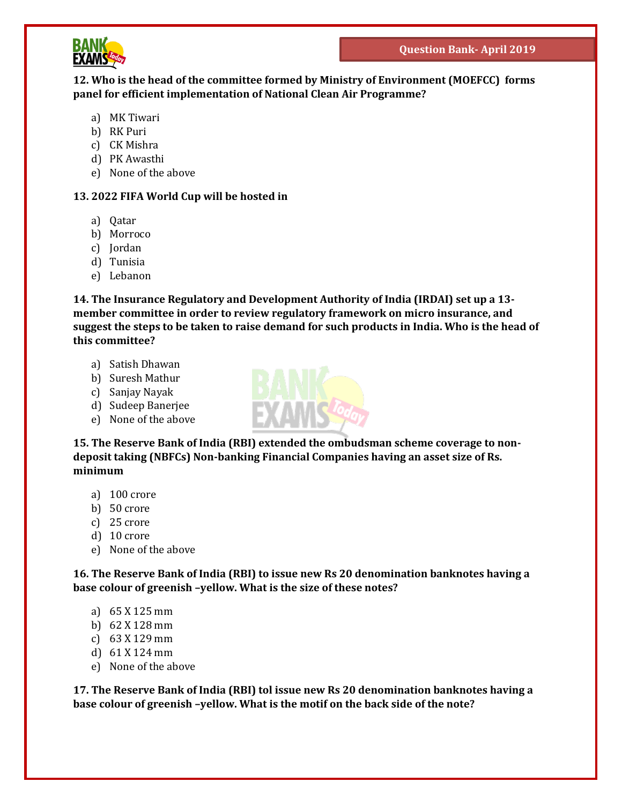

#### **12. Who is the head of the committee formed by Ministry of Environment (MOEFCC) forms panel for efficient implementation of National Clean Air Programme?**

- a) MK Tiwari
- b) RK Puri
- c) CK Mishra
- d) PK Awasthi
- e) None of the above

#### **13. 2022 FIFA World Cup will be hosted in**

- a) Qatar
- b) Morroco
- c) Jordan
- d) Tunisia
- e) Lebanon

**14. The Insurance Regulatory and Development Authority of India (IRDAI) set up a 13 member committee in order to review regulatory framework on micro insurance, and suggest the steps to be taken to raise demand for such products in India. Who is the head of this committee?**

- a) Satish Dhawan
- b) Suresh Mathur
- c) Sanjay Nayak
- d) Sudeep Banerjee
- e) None of the above



**15. The Reserve Bank of India (RBI) extended the ombudsman scheme coverage to nondeposit taking (NBFCs) Non-banking Financial Companies having an asset size of Rs. minimum**

- a) 100 crore
- b) 50 crore
- c) 25 crore
- d) 10 crore
- e) None of the above

**16. The Reserve Bank of India (RBI) to issue new Rs 20 denomination banknotes having a base colour of greenish –yellow. What is the size of these notes?**

- a) 65 X 125 mm
- b) 62 X 128 mm
- c) 63 X 129 mm
- d) 61 X 124 mm
- e) None of the above

**17. The Reserve Bank of India (RBI) tol issue new Rs 20 denomination banknotes having a base colour of greenish –yellow. What is the motif on the back side of the note?**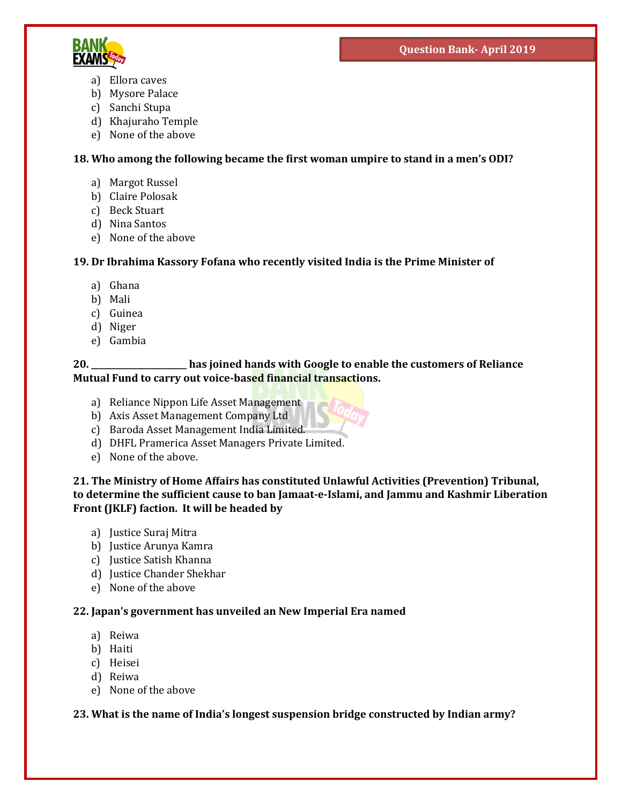

- a) Ellora caves
- b) Mysore Palace
- c) Sanchi Stupa
- d) Khajuraho Temple
- e) None of the above

# **18. Who among the following became the first woman umpire to stand in a men's ODI?**

- a) Margot Russel
- b) Claire Polosak
- c) Beck Stuart
- d) Nina Santos
- e) None of the above

# **19. Dr Ibrahima Kassory Fofana who recently visited India is the Prime Minister of**

- a) Ghana
- b) Mali
- c) Guinea
- d) Niger
- e) Gambia

# **20. \_\_\_\_\_\_\_\_\_\_\_\_\_\_\_\_\_\_\_\_\_\_\_ has joined hands with Google to enable the customers of Reliance Mutual Fund to carry out voice-based financial transactions.**

- a) Reliance Nippon Life Asset Management
- b) Axis Asset Management Company Ltd
- c) Baroda Asset Management India Limited.
- d) DHFL Pramerica Asset Managers Private Limited.
- e) None of the above.

**21. The Ministry of Home Affairs has constituted Unlawful Activities (Prevention) Tribunal, to determine the sufficient cause to ban Jamaat-e-Islami, and Jammu and Kashmir Liberation Front (JKLF) faction. It will be headed by**

- a) Justice Suraj Mitra
- b) Justice Arunya Kamra
- c) Justice Satish Khanna
- d) Justice Chander Shekhar
- e) None of the above

#### **22. Japan's government has unveiled an New Imperial Era named**

- a) Reiwa
- b) Haiti
- c) Heisei
- d) Reiwa
- e) None of the above

# **23. What is the name of India's longest suspension bridge constructed by Indian army?**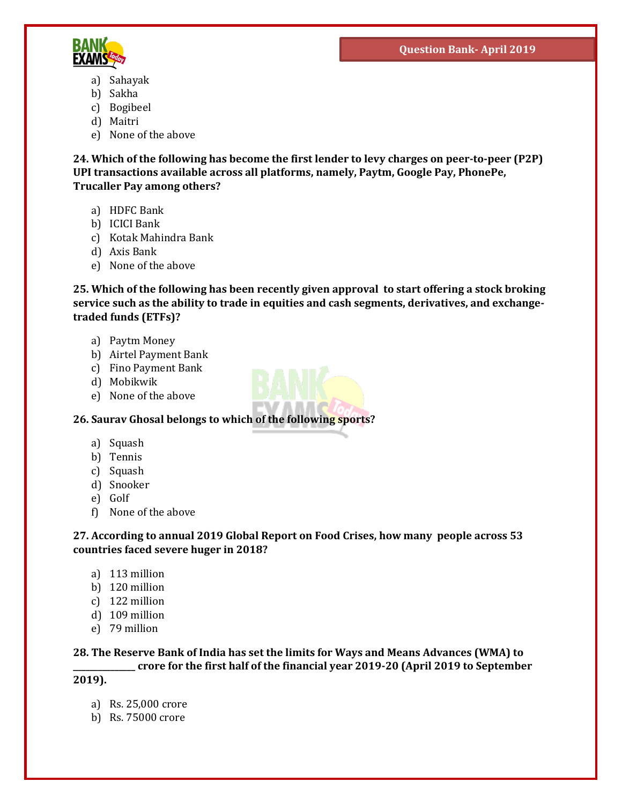

- a) Sahayak
- b) Sakha
- c) Bogibeel
- d) Maitri
- e) None of the above

**24. Which of the following has become the first lender to levy charges on peer-to-peer (P2P) UPI transactions available across all platforms, namely, Paytm, Google Pay, PhonePe, Trucaller Pay among others?**

- a) HDFC Bank
- b) ICICI Bank
- c) Kotak Mahindra Bank
- d) Axis Bank
- e) None of the above

**25. Which of the following has been recently given approval to start offering a stock broking service such as the ability to trade in equities and cash segments, derivatives, and exchangetraded funds (ETFs)?**

- a) Paytm Money
- b) Airtel Payment Bank
- c) Fino Payment Bank
- d) Mobikwik
- e) None of the above

**26. Saurav Ghosal belongs to which of the following sports?**

- a) Squash
- b) Tennis
- c) Squash
- d) Snooker
- e) Golf
- f) None of the above

**27. According to annual 2019 Global Report on Food Crises, how many people across 53 countries faced severe huger in 2018?**

- a) 113 million
- b) 120 million
- c) 122 million
- d) 109 million
- e) 79 million

**28. The Reserve Bank of India has set the limits for Ways and Means Advances (WMA) to \_\_\_\_\_\_\_\_\_\_\_\_\_\_\_ crore for the first half of the financial year 2019-20 (April 2019 to September** 

**2019).**

- a) Rs. 25,000 crore
- b) Rs. 75000 crore

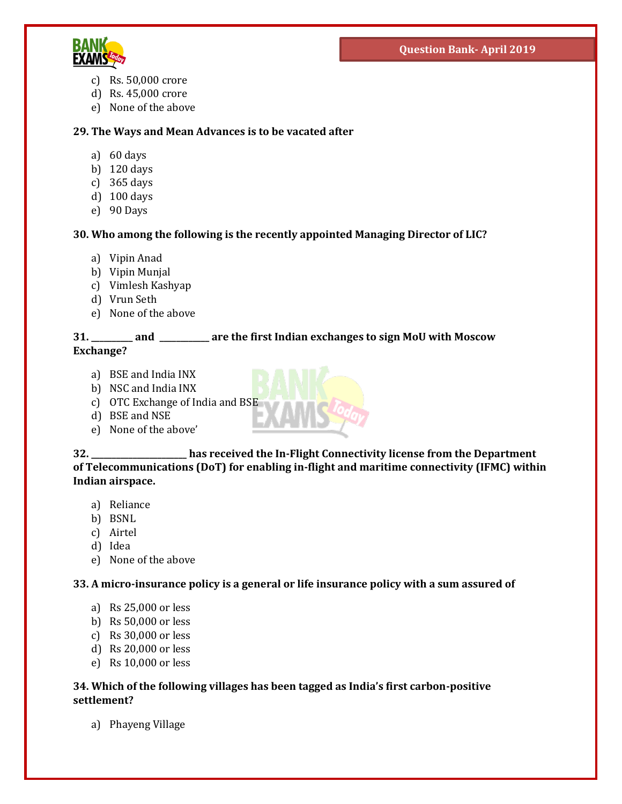

- c) Rs. 50,000 crore
- d) Rs. 45,000 crore
- e) None of the above

#### **29. The Ways and Mean Advances is to be vacated after**

- a) 60 days
- b) 120 days
- c) 365 days
- d) 100 days
- e) 90 Days

#### **30. Who among the following is the recently appointed Managing Director of LIC?**

- a) Vipin Anad
- b) Vipin Munjal
- c) Vimlesh Kashyap
- d) Vrun Seth
- e) None of the above

#### **31. \_\_\_\_\_\_\_\_\_\_ and \_\_\_\_\_\_\_\_\_\_\_\_ are the first Indian exchanges to sign MoU with Moscow Exchange?**

- a) BSE and India INX
- b) NSC and India INX
- c) OTC Exchange of India and  $BSE$
- d) BSE and NSE
- e) None of the above'



- a) Reliance
- b) BSNL
- c) Airtel
- d) Idea
- e) None of the above

**33. A micro-insurance policy is a general or life insurance policy with a sum assured of** 

- a) Rs 25,000 or less
- b) Rs 50,000 or less
- c) Rs 30,000 or less
- d) Rs 20,000 or less
- e) Rs 10,000 or less

#### **34. Which of the following villages has been tagged as India's first carbon-positive settlement?**

a) Phayeng Village

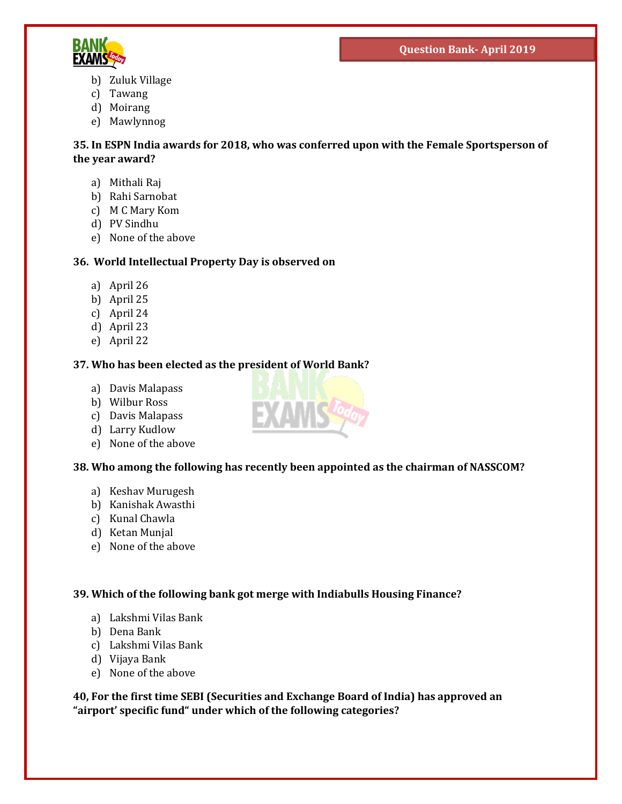

- b) Zuluk Village
- c) Tawang
- d) Moirang
- e) Mawlynnog

**35. In ESPN India awards for 2018, who was conferred upon with the Female Sportsperson of the year award?**

- a) Mithali Raj
- b) Rahi Sarnobat
- c) M C Mary Kom
- d) PV Sindhu
- e) None of the above

# **36. World Intellectual Property Day is observed on**

- a) April 26
- b) April 25
- c) April 24
- d) April 23
- e) April 22

# **37. Who has been elected as the president of World Bank?**

- a) Davis Malapass
- b) Wilbur Ross
- c) Davis Malapass
- d) Larry Kudlow
- e) None of the above

#### **38. Who among the following has recently been appointed as the chairman of NASSCOM?**

- a) Keshav Murugesh
- b) Kanishak Awasthi
- c) Kunal Chawla
- d) Ketan Munjal
- e) None of the above

#### **39. Which of the following bank got merge with Indiabulls Housing Finance?**

- a) Lakshmi Vilas Bank
- b) Dena Bank
- c) Lakshmi Vilas Bank
- d) Vijaya Bank
- e) None of the above

**40, For the first time SEBI (Securities and Exchange Board of India) has approved an "airport' specific fund" under which of the following categories?**

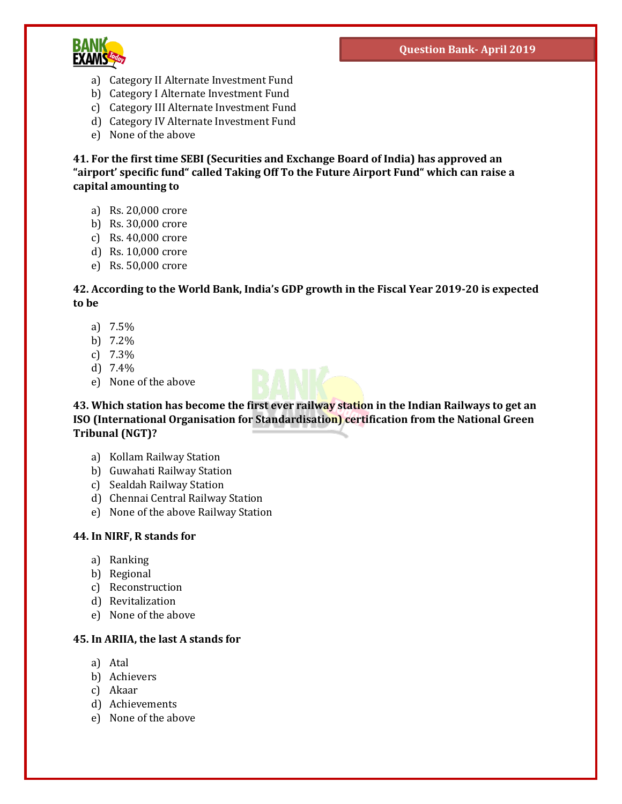

- a) Category II Alternate Investment Fund
- b) Category I Alternate Investment Fund
- c) Category III Alternate Investment Fund
- d) Category IV Alternate Investment Fund
- e) None of the above

**41. For the first time SEBI (Securities and Exchange Board of India) has approved an "airport' specific fund" called Taking Off To the Future Airport Fund" which can raise a capital amounting to**

- a) Rs. 20,000 crore
- b) Rs. 30,000 crore
- c) Rs. 40,000 crore
- d) Rs. 10,000 crore
- e) Rs. 50,000 crore

#### **42. According to the World Bank, India's GDP growth in the Fiscal Year 2019-20 is expected to be**

- a) 7.5%
- b) 7.2%
- c) 7.3%
- d) 7.4%
- e) None of the above



**43. Which station has become the first ever railway station in the Indian Railways to get an ISO (International Organisation for Standardisation) certification from the National Green Tribunal (NGT)?**

- a) Kollam Railway Station
- b) Guwahati Railway Station
- c) Sealdah Railway Station
- d) Chennai Central Railway Station
- e) None of the above Railway Station

#### **44. In NIRF, R stands for**

- a) Ranking
- b) Regional
- c) Reconstruction
- d) Revitalization
- e) None of the above

#### **45. In ARIIA, the last A stands for**

- a) Atal
- b) Achievers
- c) Akaar
- d) Achievements
- e) None of the above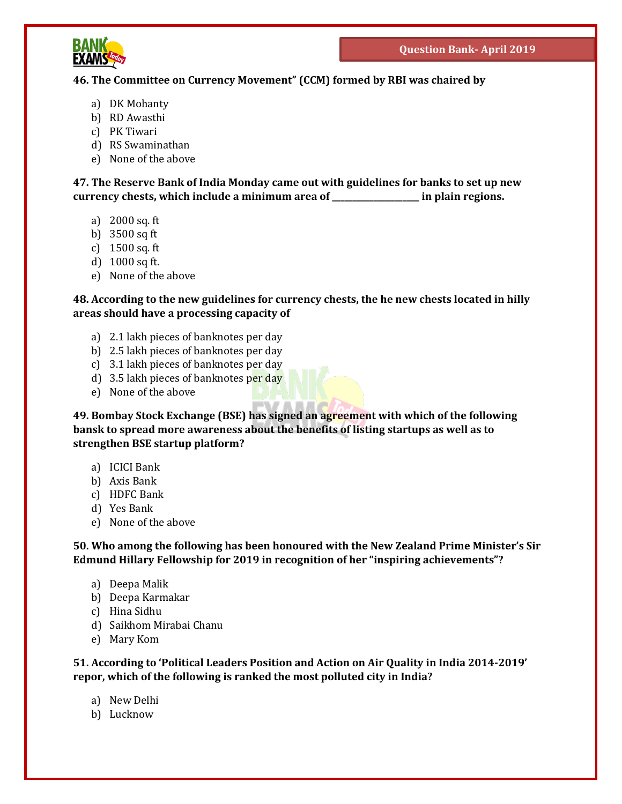

# **46. The Committee on Currency Movement" (CCM) formed by RBI was chaired by**

- a) DK Mohanty
- b) RD Awasthi
- c) PK Tiwari
- d) RS Swaminathan
- e) None of the above

**47. The Reserve Bank of India Monday came out with guidelines for banks to set up new currency chests, which include a minimum area of \_\_\_\_\_\_\_\_\_\_\_\_\_\_\_\_\_\_\_\_\_ in plain regions.**

- a) 2000 sq. ft
- b) 3500 sq ft
- c) 1500 sq. ft
- d) 1000 sq ft.
- e) None of the above

**48. According to the new guidelines for currency chests, the he new chests located in hilly areas should have a processing capacity of**

- a) 2.1 lakh pieces of banknotes per day
- b) 2.5 lakh pieces of banknotes per day
- c) 3.1 lakh pieces of banknotes per day
- d) 3.5 lakh pieces of banknotes per day
- e) None of the above

**49. Bombay Stock Exchange (BSE) has signed an agreement with which of the following bansk to spread more awareness about the benefits of listing startups as well as to strengthen BSE startup platform?**

- a) ICICI Bank
- b) Axis Bank
- c) HDFC Bank
- d) Yes Bank
- e) None of the above

**50. Who among the following has been honoured with the New Zealand Prime Minister's Sir Edmund Hillary Fellowship for 2019 in recognition of her "inspiring achievements"?**

- a) Deepa Malik
- b) Deepa Karmakar
- c) Hina Sidhu
- d) Saikhom Mirabai Chanu
- e) Mary Kom

**51. According to 'Political Leaders Position and Action on Air Quality in India 2014-2019' repor, which of the following is ranked the most polluted city in India?**

- a) New Delhi
- b) Lucknow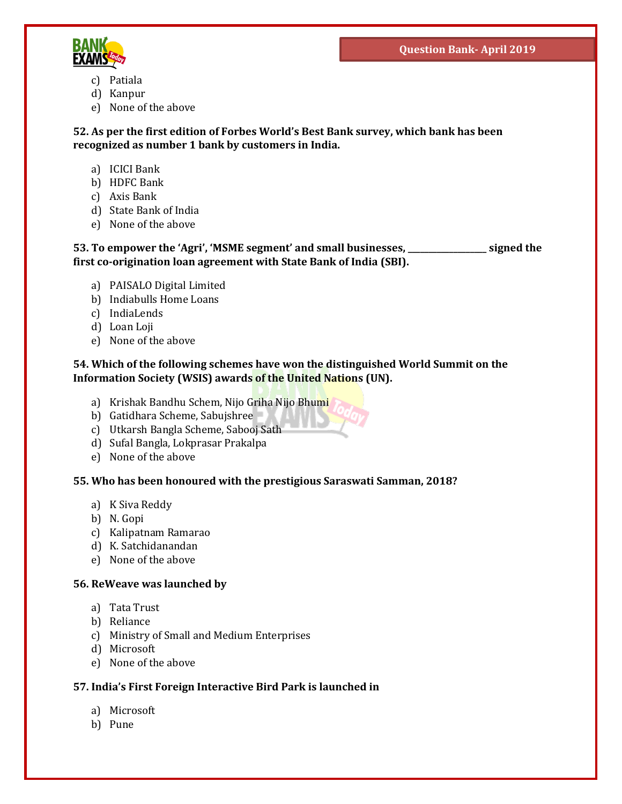

- c) Patiala
- d) Kanpur
- e) None of the above

**52. As per the first edition of Forbes World's Best Bank survey, which bank has been recognized as number 1 bank by customers in India.**

- a) ICICI Bank
- b) HDFC Bank
- c) Axis Bank
- d) State Bank of India
- e) None of the above

**53. To empower the 'Agri', 'MSME segment' and small businesses, \_\_\_\_\_\_\_\_\_\_\_\_\_\_\_\_\_\_\_ signed the first co-origination loan agreement with State Bank of India (SBI).**

- a) PAISALO Digital Limited
- b) Indiabulls Home Loans
- c) IndiaLends
- d) Loan Loji
- e) None of the above

#### **54. Which of the following schemes have won the distinguished World Summit on the Information Society (WSIS) awards of the United Nations (UN).**

- a) Krishak Bandhu Schem, Nijo Griha Nijo Bhumi
- b) Gatidhara Scheme, Sabujshree
- c) Utkarsh Bangla Scheme, Sabooj Sath
- d) Sufal Bangla, Lokprasar Prakalpa
- e) None of the above

#### **55. Who has been honoured with the prestigious Saraswati Samman, 2018?**

- a) K Siva Reddy
- b) N. Gopi
- c) Kalipatnam Ramarao
- d) K. Satchidanandan
- e) None of the above

#### **56. ReWeave was launched by**

- a) Tata Trust
- b) Reliance
- c) Ministry of Small and Medium Enterprises
- d) Microsoft
- e) None of the above

#### **57. India's First Foreign Interactive Bird Park is launched in**

- a) Microsoft
- b) Pune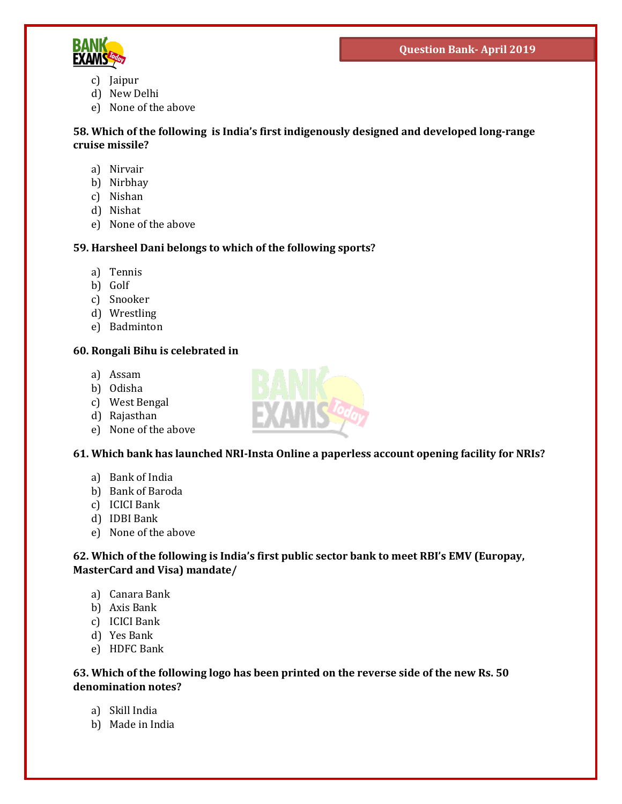

- c) Jaipur
- d) New Delhi
- e) None of the above

**58. Which of the following is India's first indigenously designed and developed long-range cruise missile?**

- a) Nirvair
- b) Nirbhay
- c) Nishan
- d) Nishat
- e) None of the above

# **59. Harsheel Dani belongs to which of the following sports?**

- a) Tennis
- b) Golf
- c) Snooker
- d) Wrestling
- e) Badminton

#### **60. Rongali Bihu is celebrated in**

- a) Assam
- b) Odisha
- c) West Bengal
- d) Rajasthan
- e) None of the above

#### **61. Which bank has launched NRI-Insta Online a paperless account opening facility for NRIs?**

- a) Bank of India
- b) Bank of Baroda
- c) ICICI Bank
- d) IDBI Bank
- e) None of the above

#### **62. Which of the following is India's first public sector bank to meet RBI's EMV (Europay, MasterCard and Visa) mandate/**

- a) Canara Bank
- b) Axis Bank
- c) ICICI Bank
- d) Yes Bank
- e) HDFC Bank

#### **63. Which of the following logo has been printed on the reverse side of the new Rs. 50 denomination notes?**

- a) Skill India
- b) Made in India

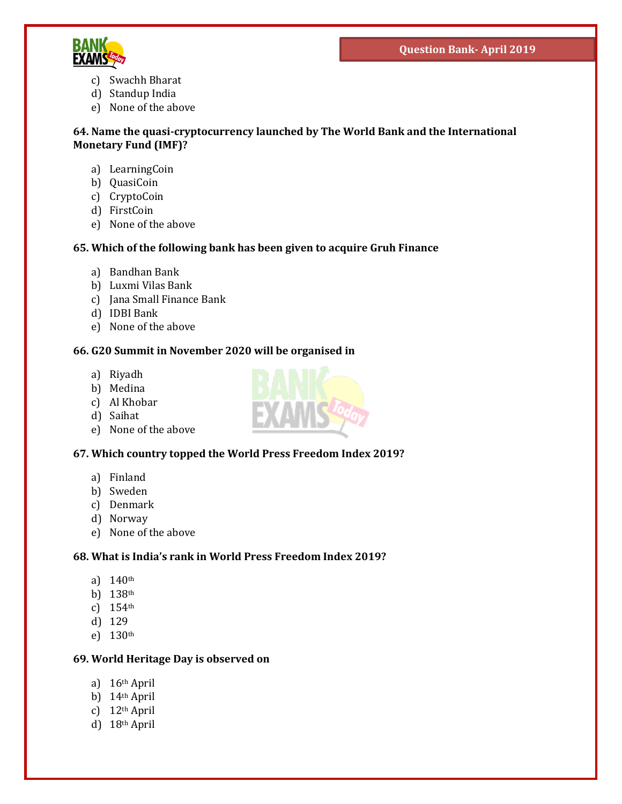

- c) Swachh Bharat
- d) Standup India
- e) None of the above

#### **64. Name the quasi-cryptocurrency launched by The World Bank and the International Monetary Fund (IMF)?**

- a) LearningCoin
- b) QuasiCoin
- c) CryptoCoin
- d) FirstCoin
- e) None of the above

# **65. Which of the following bank has been given to acquire Gruh Finance**

- a) Bandhan Bank
- b) Luxmi Vilas Bank
- c) Jana Small Finance Bank
- d) IDBI Bank
- e) None of the above

#### **66. G20 Summit in November 2020 will be organised in**

- a) Riyadh
- b) Medina
- c) Al Khobar
- d) Saihat
- e) None of the above

# **67. Which country topped the World Press Freedom Index 2019?**

- a) Finland
- b) Sweden
- c) Denmark
- d) Norway
- e) None of the above

# **68. What is India's rank in World Press Freedom Index 2019?**

- a) 140th
- b) 138th
- c) 154th
- d) 129
- e) 130th

#### **69. World Heritage Day is observed on**

- a) 16th April
- b) 14th April
- c) 12th April
- d) 18th April

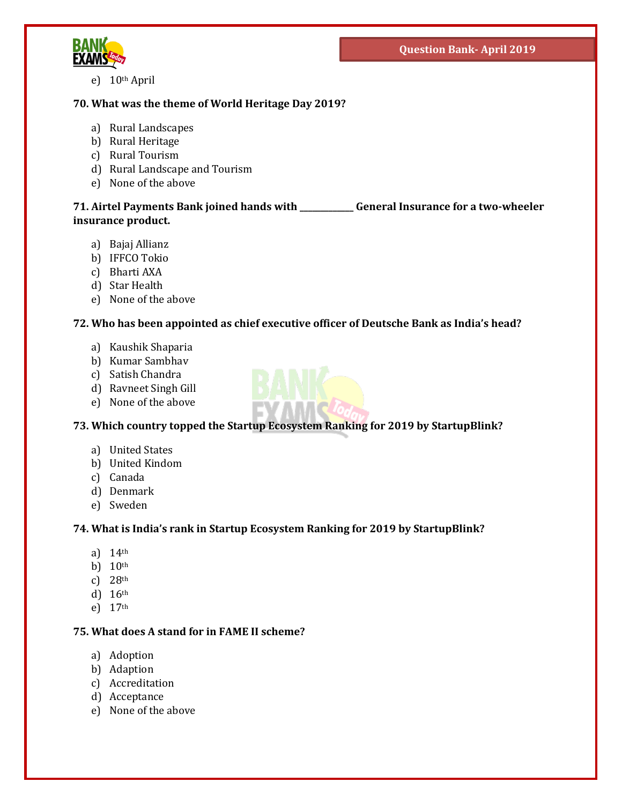

e) 10th April

# **70. What was the theme of World Heritage Day 2019?**

- a) Rural Landscapes
- b) Rural Heritage
- c) Rural Tourism
- d) Rural Landscape and Tourism
- e) None of the above

# **71. Airtel Payments Bank joined hands with \_\_\_\_\_\_\_\_\_\_\_\_\_ General Insurance for a two-wheeler insurance product.**

- a) Bajaj Allianz
- b) IFFCO Tokio
- c) Bharti AXA
- d) Star Health
- e) None of the above

# **72. Who has been appointed as chief executive officer of Deutsche Bank as India's head?**

- a) Kaushik Shaparia
- b) Kumar Sambhav
- c) Satish Chandra
- d) Ravneet Singh Gill
- e) None of the above



- a) United States
- b) United Kindom
- c) Canada
- d) Denmark
- e) Sweden

# **74. What is India's rank in Startup Ecosystem Ranking for 2019 by StartupBlink?**

- a) 14th
- b) 10<sup>th</sup>
- c) 28th
- d) 16th
- e) 17th

# **75. What does A stand for in FAME II scheme?**

- a) Adoption
- b) Adaption
- c) Accreditation
- d) Acceptance
- e) None of the above

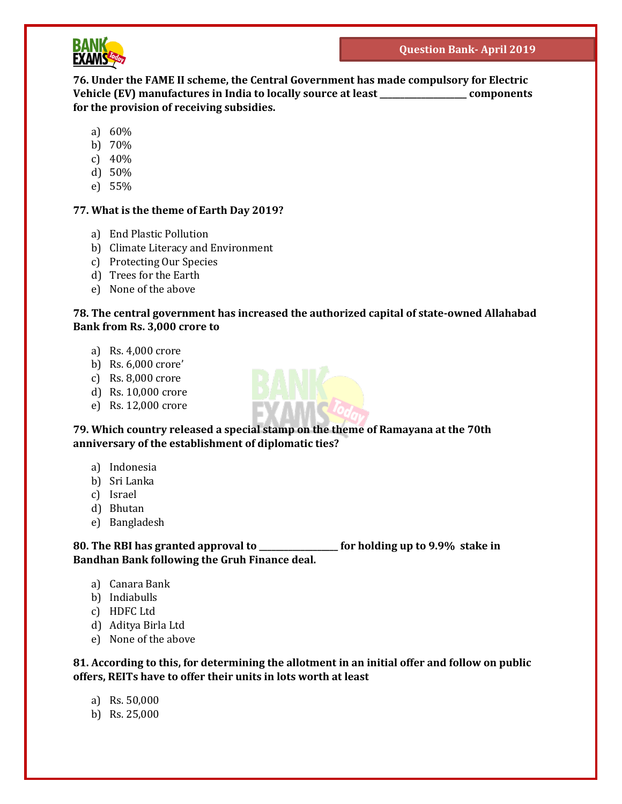

**76. Under the FAME II scheme, the Central Government has made compulsory for Electric Vehicle (EV) manufactures in India to locally source at least \_\_\_\_\_\_\_\_\_\_\_\_\_\_\_\_\_\_\_\_\_ components for the provision of receiving subsidies.**

- a) 60%
- b) 70%
- c) 40%
- d) 50%
- e) 55%

#### **77. What is the theme of Earth Day 2019?**

- a) End Plastic Pollution
- b) Climate Literacy and Environment
- c) Protecting Our Species
- d) Trees for the Earth
- e) None of the above

# **78. The central government has increased the authorized capital of state-owned Allahabad Bank from Rs. 3,000 crore to**

- a) Rs. 4,000 crore
- b) Rs. 6,000 crore'
- c) Rs. 8,000 crore
- d) Rs. 10,000 crore
- e) Rs. 12,000 crore

**79. Which country released a special stamp on the theme of Ramayana at the 70th anniversary of the establishment of diplomatic ties?**

- a) Indonesia
- b) Sri Lanka
- c) Israel
- d) Bhutan
- e) Bangladesh

**80. The RBI has granted approval to \_\_\_\_\_\_\_\_\_\_\_\_\_\_\_\_\_\_\_ for holding up to 9.9% stake in Bandhan Bank following the Gruh Finance deal.**

- a) Canara Bank
- b) Indiabulls
- c) HDFC Ltd
- d) Aditya Birla Ltd
- e) None of the above

**81. According to this, for determining the allotment in an initial offer and follow on public offers, REITs have to offer their units in lots worth at least**

- a) Rs. 50,000
- b) Rs. 25,000

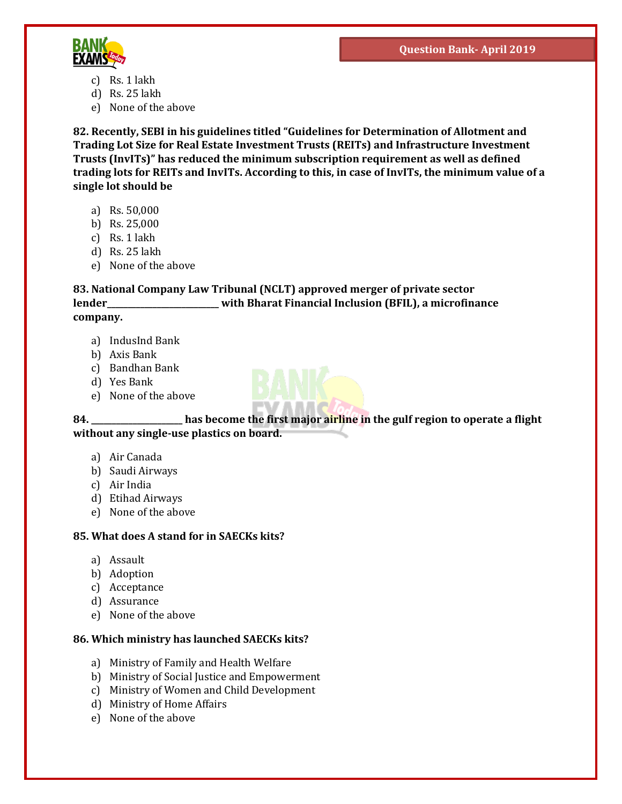

- c) Rs. 1 lakh
- d) Rs. 25 lakh
- e) None of the above

**82. Recently, SEBI in his guidelines titled "Guidelines for Determination of Allotment and Trading Lot Size for Real Estate Investment Trusts (REITs) and Infrastructure Investment Trusts (InvITs)" has reduced the minimum subscription requirement as well as defined trading lots for REITs and InvITs. According to this, in case of InvITs, the minimum value of a single lot should be** 

- a) Rs. 50,000
- b) Rs. 25,000
- c) Rs. 1 lakh
- d) Rs. 25 lakh
- e) None of the above

#### **83. National Company Law Tribunal (NCLT) approved merger of private sector lender\_\_\_\_\_\_\_\_\_\_\_\_\_\_\_\_\_\_\_\_\_\_\_\_\_\_\_ with Bharat Financial Inclusion (BFIL), a microfinance company.**

- a) IndusInd Bank
- b) Axis Bank
- c) Bandhan Bank
- d) Yes Bank
- e) None of the above



- a) Air Canada
- b) Saudi Airways
- c) Air India
- d) Etihad Airways
- e) None of the above

#### **85. What does A stand for in SAECKs kits?**

- a) Assault
- b) Adoption
- c) Acceptance
- d) Assurance
- e) None of the above

#### **86. Which ministry has launched SAECKs kits?**

- a) Ministry of Family and Health Welfare
- b) Ministry of Social Justice and Empowerment
- c) Ministry of Women and Child Development
- d) Ministry of Home Affairs
- e) None of the above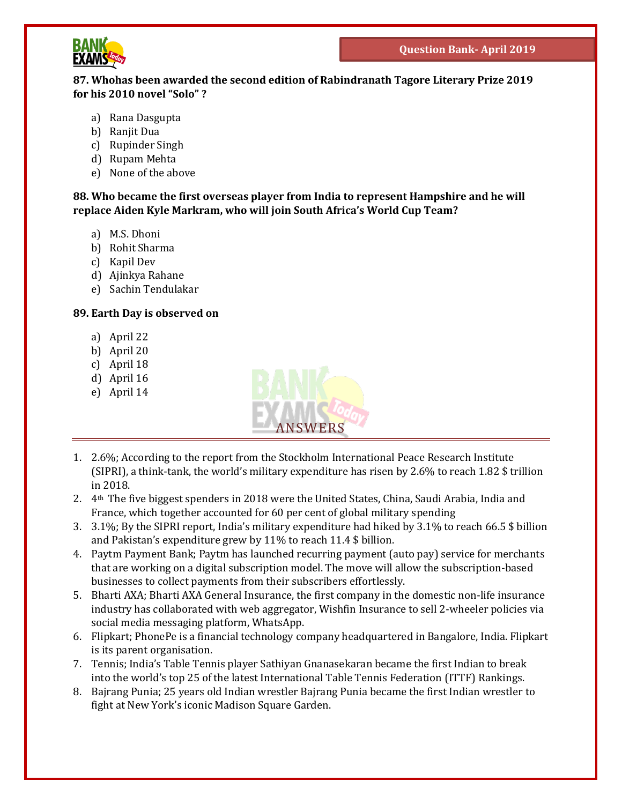

#### **87. Whohas been awarded the second edition of Rabindranath Tagore Literary Prize 2019 for his 2010 novel "Solo" ?**

- a) Rana Dasgupta
- b) Ranjit Dua
- c) Rupinder Singh
- d) Rupam Mehta
- e) None of the above

**88. Who became the first overseas player from India to represent Hampshire and he will replace Aiden Kyle Markram, who will join South Africa's World Cup Team?**

- a) M.S. Dhoni
- b) Rohit Sharma
- c) Kapil Dev
- d) Ajinkya Rahane
- e) Sachin Tendulakar

#### **89. Earth Day is observed on**

- a) April 22
- b) April 20
- c) April 18
- d) April 16
- e) April 14



- 1. 2.6%; According to the report from the Stockholm International Peace Research Institute (SIPRI), a think-tank, the world's military expenditure has risen by 2.6% to reach 1.82 \$ trillion in 2018.
- 2.  $4<sup>th</sup>$  The five biggest spenders in 2018 were the United States, China, Saudi Arabia, India and France, which together accounted for 60 per cent of global military spending
- 3. 3.1%; By the SIPRI report, India's military expenditure had hiked by 3.1% to reach 66.5 \$ billion and Pakistan's expenditure grew by 11% to reach 11.4 \$ billion.
- 4. Paytm Payment Bank; Paytm has launched recurring payment (auto pay) service for merchants that are working on a digital subscription model. The move will allow the subscription-based businesses to collect payments from their subscribers effortlessly.
- 5. Bharti AXA; Bharti AXA General Insurance, the first company in the domestic non-life insurance industry has collaborated with web aggregator, Wishfin Insurance to sell 2-wheeler policies via social media messaging platform, WhatsApp.
- 6. Flipkart; PhonePe is a financial technology company headquartered in Bangalore, India. Flipkart is its parent organisation.
- 7. Tennis; India's Table Tennis player Sathiyan Gnanasekaran became the first Indian to break into the world's top 25 of the latest International Table Tennis Federation (ITTF) Rankings.
- 8. Bajrang Punia; 25 years old Indian wrestler Bajrang Punia became the first Indian wrestler to fight at New York's iconic Madison Square Garden.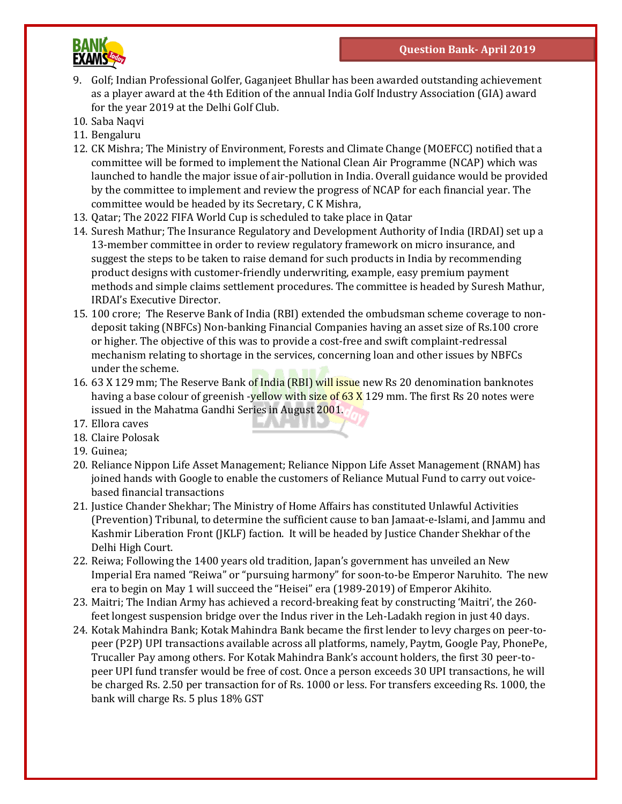

- 9. Golf; Indian Professional Golfer, Gaganjeet Bhullar has been awarded outstanding achievement as a player award at the 4th Edition of the annual India Golf Industry Association (GIA) award for the year 2019 at the Delhi Golf Club.
- 10. Saba Naqvi
- 11. Bengaluru
- 12. CK Mishra; The Ministry of Environment, Forests and Climate Change (MOEFCC) notified that a committee will be formed to implement the National Clean Air Programme (NCAP) which was launched to handle the major issue of air-pollution in India. Overall guidance would be provided by the committee to implement and review the progress of NCAP for each financial year. The committee would be headed by its Secretary, C K Mishra,
- 13. Qatar; The 2022 FIFA World Cup is scheduled to take place in Qatar
- 14. Suresh Mathur; The Insurance Regulatory and Development Authority of India (IRDAI) set up a 13-member committee in order to review regulatory framework on micro insurance, and suggest the steps to be taken to raise demand for such products in India by recommending product designs with customer-friendly underwriting, example, easy premium payment methods and simple claims settlement procedures. The committee is headed by Suresh Mathur, IRDAI's Executive Director.
- 15. 100 crore; The Reserve Bank of India (RBI) extended the ombudsman scheme coverage to nondeposit taking (NBFCs) Non-banking Financial Companies having an asset size of Rs.100 crore or higher. The objective of this was to provide a cost-free and swift complaint-redressal mechanism relating to shortage in the services, concerning loan and other issues by NBFCs under the scheme.
- 16. 63 X 129 mm; The Reserve Bank of India (RBI) will issue new Rs 20 denomination banknotes having a base colour of greenish -yellow with size of 63 X 129 mm. The first Rs 20 notes were issued in the Mahatma Gandhi Series in August 2001.
- 17. Ellora caves
- 18. Claire Polosak
- 19. Guinea;
- 20. Reliance Nippon Life Asset Management; Reliance Nippon Life Asset Management (RNAM) has joined hands with Google to enable the customers of Reliance Mutual Fund to carry out voicebased financial transactions
- 21. Justice Chander Shekhar; The Ministry of Home Affairs has constituted Unlawful Activities (Prevention) Tribunal, to determine the sufficient cause to ban Jamaat-e-Islami, and Jammu and Kashmir Liberation Front (JKLF) faction. It will be headed by Justice Chander Shekhar of the Delhi High Court.
- 22. Reiwa; Following the 1400 years old tradition, Japan's government has unveiled an New Imperial Era named "Reiwa" or "pursuing harmony" for soon-to-be Emperor Naruhito. The new era to begin on May 1 will succeed the "Heisei" era (1989-2019) of Emperor Akihito.
- 23. Maitri; The Indian Army has achieved a record-breaking feat by constructing 'Maitri', the 260 feet longest suspension bridge over the Indus river in the Leh-Ladakh region in just 40 days.
- 24. Kotak Mahindra Bank; Kotak Mahindra Bank became the first lender to levy charges on peer-topeer (P2P) UPI transactions available across all platforms, namely, Paytm, Google Pay, PhonePe, Trucaller Pay among others. For Kotak Mahindra Bank's account holders, the first 30 peer-topeer UPI fund transfer would be free of cost. Once a person exceeds 30 UPI transactions, he will be charged Rs. 2.50 per transaction for of Rs. 1000 or less. For transfers exceeding Rs. 1000, the bank will charge Rs. 5 plus 18% GST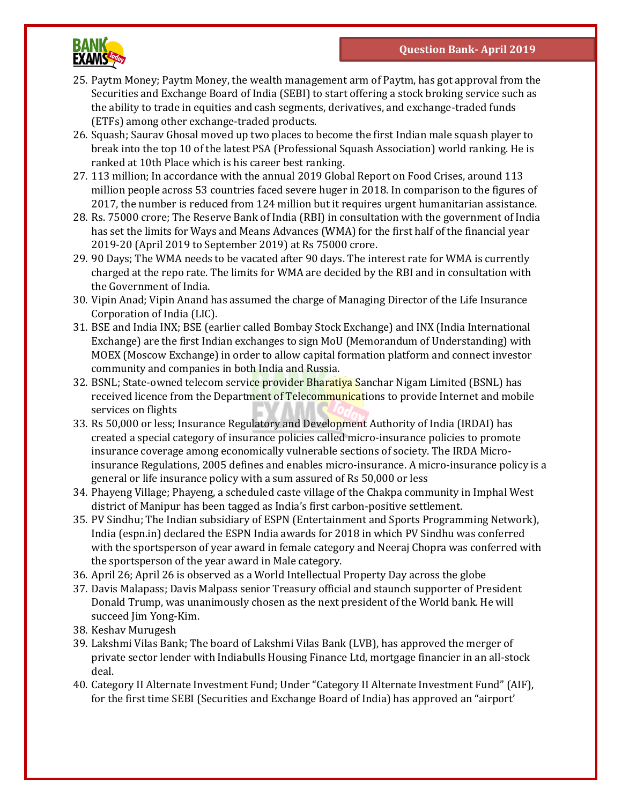

- 25. Paytm Money; Paytm Money, the wealth management arm of Paytm, has got approval from the Securities and Exchange Board of India (SEBI) to start offering a stock broking service such as the ability to trade in equities and cash segments, derivatives, and exchange-traded funds (ETFs) among other exchange-traded products.
- 26. Squash; Saurav Ghosal moved up two places to become the first Indian male squash player to break into the top 10 of the latest PSA (Professional Squash Association) world ranking. He is ranked at 10th Place which is his career best ranking.
- 27. 113 million; In accordance with the annual 2019 Global Report on Food Crises, around 113 million people across 53 countries faced severe huger in 2018. In comparison to the figures of 2017, the number is reduced from 124 million but it requires urgent humanitarian assistance.
- 28. Rs. 75000 crore; The Reserve Bank of India (RBI) in consultation with the government of India has set the limits for Ways and Means Advances (WMA) for the first half of the financial year 2019-20 (April 2019 to September 2019) at Rs 75000 crore.
- 29. 90 Days; The WMA needs to be vacated after 90 days. The interest rate for WMA is currently charged at the repo rate. The limits for WMA are decided by the RBI and in consultation with the Government of India.
- 30. Vipin Anad; Vipin Anand has assumed the charge of Managing Director of the Life Insurance Corporation of India (LIC).
- 31. BSE and India INX; BSE (earlier called Bombay Stock Exchange) and INX (India International Exchange) are the first Indian exchanges to sign MoU (Memorandum of Understanding) with MOEX (Moscow Exchange) in order to allow capital formation platform and connect investor community and companies in both India and Russia.
- 32. BSNL; State-owned telecom service provider Bharatiya Sanchar Nigam Limited (BSNL) has received licence from the Department of Telecommunications to provide Internet and mobile services on flights
- 33. Rs 50,000 or less; Insurance Regulatory and Development Authority of India (IRDAI) has created a special category of insurance policies called micro-insurance policies to promote insurance coverage among economically vulnerable sections of society. The IRDA Microinsurance Regulations, 2005 defines and enables micro-insurance. A micro-insurance policy is a general or life insurance policy with a sum assured of Rs 50,000 or less
- 34. Phayeng Village; Phayeng, a scheduled caste village of the Chakpa community in Imphal West district of Manipur has been tagged as India's first carbon-positive settlement.
- 35. PV Sindhu; The Indian subsidiary of ESPN (Entertainment and Sports Programming Network), India (espn.in) declared the ESPN India awards for 2018 in which PV Sindhu was conferred with the sportsperson of year award in female category and Neeraj Chopra was conferred with the sportsperson of the year award in Male category.
- 36. April 26; April 26 is observed as a World Intellectual Property Day across the globe
- 37. Davis Malapass; Davis Malpass senior Treasury official and staunch supporter of President Donald Trump, was unanimously chosen as the next president of the World bank. He will succeed Jim Yong-Kim.
- 38. Keshav Murugesh
- 39. Lakshmi Vilas Bank; The board of Lakshmi Vilas Bank (LVB), has approved the merger of private sector lender with Indiabulls Housing Finance Ltd, mortgage financier in an all-stock deal.
- 40. Category II Alternate Investment Fund; Under "Category II Alternate Investment Fund" (AIF), for the first time SEBI (Securities and Exchange Board of India) has approved an "airport'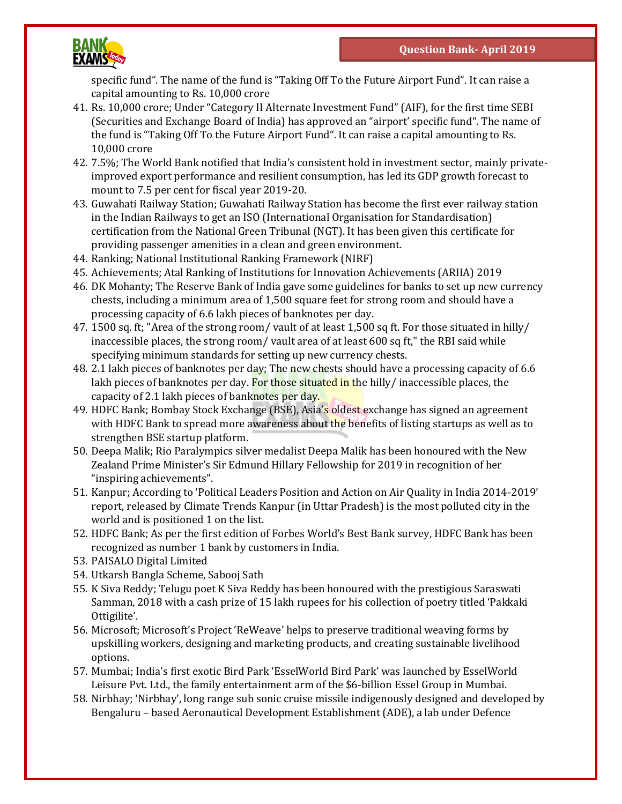

specific fund". The name of the fund is "Taking Off To the Future Airport Fund". It can raise a capital amounting to Rs. 10,000 crore

- 41. Rs. 10,000 crore; Under "Category II Alternate Investment Fund" (AIF), for the first time SEBI (Securities and Exchange Board of India) has approved an "airport' specific fund". The name of the fund is "Taking Off To the Future Airport Fund". It can raise a capital amounting to Rs. 10,000 crore
- 42. 7.5%; The World Bank notified that India's consistent hold in investment sector, mainly privateimproved export performance and resilient consumption, has led its GDP growth forecast to mount to 7.5 per cent for fiscal year 2019-20.
- 43. Guwahati Railway Station; Guwahati Railway Station has become the first ever railway station in the Indian Railways to get an ISO (International Organisation for Standardisation) certification from the National Green Tribunal (NGT). It has been given this certificate for providing passenger amenities in a clean and green environment.
- 44. Ranking; National Institutional Ranking Framework (NIRF)
- 45. Achievements; Atal Ranking of Institutions for Innovation Achievements (ARIIA) 2019
- 46. DK Mohanty; The Reserve Bank of India gave some guidelines for banks to set up new currency chests, including a minimum area of 1,500 square feet for strong room and should have a processing capacity of 6.6 lakh pieces of banknotes per day.
- 47. 1500 sq. ft; "Area of the strong room/ vault of at least 1,500 sq ft. For those situated in hilly/ inaccessible places, the strong room/ vault area of at least 600 sq ft," the RBI said while specifying minimum standards for setting up new currency chests.
- 48. 2.1 lakh pieces of banknotes per day; The new chests should have a processing capacity of 6.6 lakh pieces of banknotes per day. For those situated in the hilly/ inaccessible places, the capacity of 2.1 lakh pieces of banknotes per day.
- 49. HDFC Bank; Bombay Stock Exchange (BSE), Asia's oldest exchange has signed an agreement with HDFC Bank to spread more awareness about the benefits of listing startups as well as to strengthen BSE startup platform.
- 50. Deepa Malik; Rio Paralympics silver medalist Deepa Malik has been honoured with the New Zealand Prime Minister's Sir Edmund Hillary Fellowship for 2019 in recognition of her "inspiring achievements".
- 51. Kanpur; According to 'Political Leaders Position and Action on Air Quality in India 2014-2019' report, released by Climate Trends Kanpur (in Uttar Pradesh) is the most polluted city in the world and is positioned 1 on the list.
- 52. HDFC Bank; As per the first edition of Forbes World's Best Bank survey, HDFC Bank has been recognized as number 1 bank by customers in India.
- 53. PAISALO Digital Limited
- 54. Utkarsh Bangla Scheme, Sabooj Sath
- 55. K Siva Reddy; Telugu poet K Siva Reddy has been honoured with the prestigious Saraswati Samman, 2018 with a cash prize of 15 lakh rupees for his collection of poetry titled 'Pakkaki Ottigilite'.
- 56. Microsoft; Microsoft's Project 'ReWeave' helps to preserve traditional weaving forms by upskilling workers, designing and marketing products, and creating sustainable livelihood options.
- 57. Mumbai; India's first exotic Bird Park 'EsselWorld Bird Park' was launched by EsselWorld Leisure Pvt. Ltd., the family entertainment arm of the \$6-billion Essel Group in Mumbai.
- 58. Nirbhay; 'Nirbhay', long range sub sonic cruise missile indigenously designed and developed by Bengaluru – based Aeronautical Development Establishment (ADE), a lab under Defence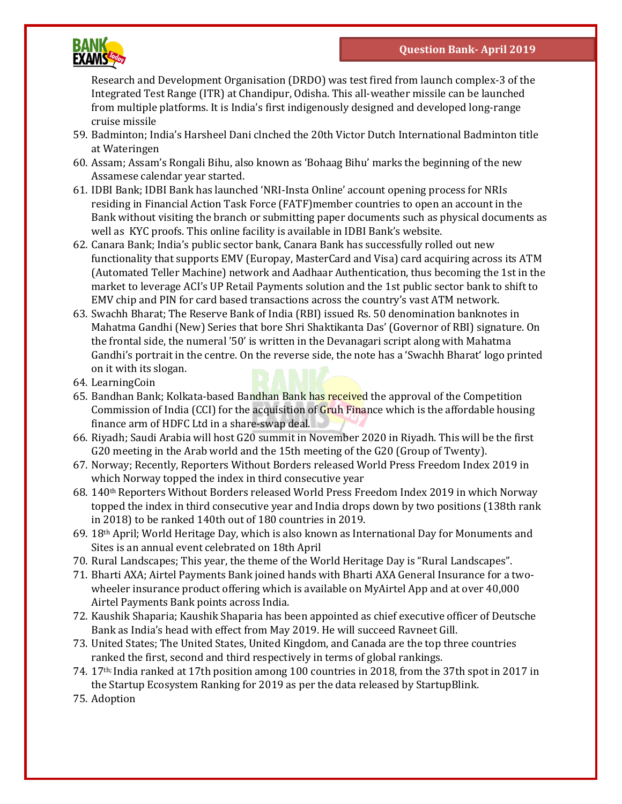

Research and Development Organisation (DRDO) was test fired from launch complex-3 of the Integrated Test Range (ITR) at Chandipur, Odisha. This all-weather missile can be launched from multiple platforms. It is India's first indigenously designed and developed long-range cruise missile

- 59. Badminton; India's Harsheel Dani clnched the 20th Victor Dutch International Badminton title at Wateringen
- 60. Assam; Assam's Rongali Bihu, also known as 'Bohaag Bihu' marks the beginning of the new Assamese calendar year started.
- 61. IDBI Bank; IDBI Bank has launched 'NRI-Insta Online' account opening process for NRIs residing in Financial Action Task Force (FATF)member countries to open an account in the Bank without visiting the branch or submitting paper documents such as physical documents as well as KYC proofs. This online facility is available in IDBI Bank's website.
- 62. Canara Bank; India's public sector bank, Canara Bank has successfully rolled out new functionality that supports EMV (Europay, MasterCard and Visa) card acquiring across its ATM (Automated Teller Machine) network and Aadhaar Authentication, thus becoming the 1st in the market to leverage ACI's UP Retail Payments solution and the 1st public sector bank to shift to EMV chip and PIN for card based transactions across the country's vast ATM network.
- 63. Swachh Bharat; The Reserve Bank of India (RBI) issued Rs. 50 denomination banknotes in Mahatma Gandhi (New) Series that bore Shri Shaktikanta Das' (Governor of RBI) signature. On the frontal side, the numeral '50' is written in the Devanagari script along with Mahatma Gandhi's portrait in the centre. On the reverse side, the note has a 'Swachh Bharat' logo printed on it with its slogan.
- 64. LearningCoin
- 65. Bandhan Bank; Kolkata-based Bandhan Bank has received the approval of the Competition Commission of India (CCI) for the acquisition of Gruh Finance which is the affordable housing finance arm of HDFC Ltd in a share-swap deal.
- 66. Riyadh; Saudi Arabia will host G20 summit in November 2020 in Riyadh. This will be the first G20 meeting in the Arab world and the 15th meeting of the G20 (Group of Twenty).
- 67. Norway; Recently, Reporters Without Borders released World Press Freedom Index 2019 in which Norway topped the index in third consecutive year
- $68. 140$ <sup>th</sup> Reporters Without Borders released World Press Freedom Index 2019 in which Norway topped the index in third consecutive year and India drops down by two positions (138th rank in 2018) to be ranked 140th out of 180 countries in 2019.
- 69. 18th April; World Heritage Day, which is also known as International Day for Monuments and Sites is an annual event celebrated on 18th April
- 70. Rural Landscapes; This year, the theme of the World Heritage Day is "Rural Landscapes".
- 71. Bharti AXA; Airtel Payments Bank joined hands with Bharti AXA General Insurance for a twowheeler insurance product offering which is available on MyAirtel App and at over 40,000 Airtel Payments Bank points across India.
- 72. Kaushik Shaparia; Kaushik Shaparia has been appointed as chief executive officer of Deutsche Bank as India's head with effect from May 2019. He will succeed Ravneet Gill.
- 73. United States; The United States, United Kingdom, and Canada are the top three countries ranked the first, second and third respectively in terms of global rankings.
- 74. 17th; India ranked at 17th position among 100 countries in 2018, from the 37th spot in 2017 in the Startup Ecosystem Ranking for 2019 as per the data released by StartupBlink.
- 75. Adoption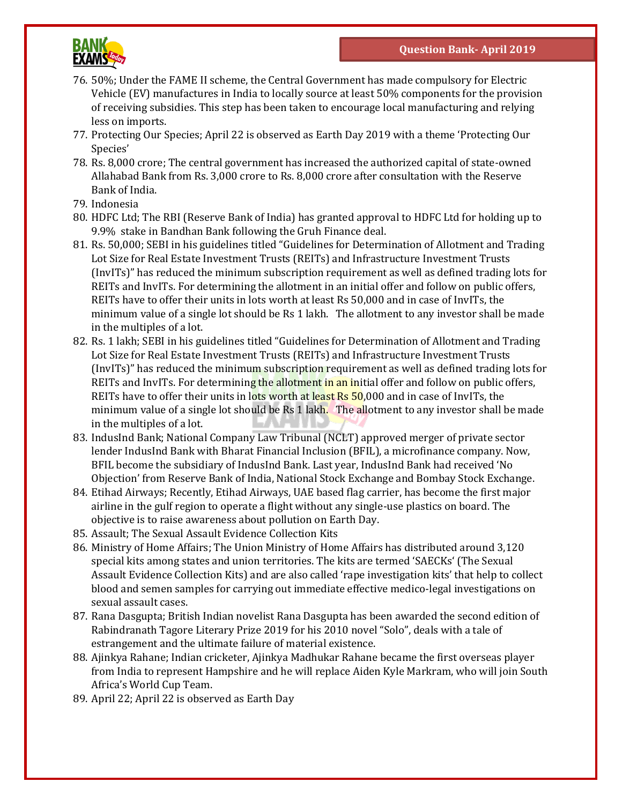

- 76. 50%; Under the FAME II scheme, the Central Government has made compulsory for Electric Vehicle (EV) manufactures in India to locally source at least 50% components for the provision of receiving subsidies. This step has been taken to encourage local manufacturing and relying less on imports.
- 77. Protecting Our Species; April 22 is observed as Earth Day 2019 with a theme 'Protecting Our Species'
- 78. Rs. 8,000 crore; The central government has increased the authorized capital of state-owned Allahabad Bank from Rs. 3,000 crore to Rs. 8,000 crore after consultation with the Reserve Bank of India.
- 79. Indonesia
- 80. HDFC Ltd; The RBI (Reserve Bank of India) has granted approval to HDFC Ltd for holding up to 9.9% stake in Bandhan Bank following the Gruh Finance deal.
- 81. Rs. 50,000; SEBI in his guidelines titled "Guidelines for Determination of Allotment and Trading Lot Size for Real Estate Investment Trusts (REITs) and Infrastructure Investment Trusts (InvITs)" has reduced the minimum subscription requirement as well as defined trading lots for REITs and InvITs. For determining the allotment in an initial offer and follow on public offers, REITs have to offer their units in lots worth at least Rs 50,000 and in case of InvITs, the minimum value of a single lot should be Rs 1 lakh. The allotment to any investor shall be made in the multiples of a lot.
- 82. Rs. 1 lakh; SEBI in his guidelines titled "Guidelines for Determination of Allotment and Trading Lot Size for Real Estate Investment Trusts (REITs) and Infrastructure Investment Trusts (InvITs)" has reduced the minimum subscription requirement as well as defined trading lots for REITs and InvITs. For determining the allotment in an initial offer and follow on public offers, REITs have to offer their units in lots worth at least  $\overline{Rs}$  50,000 and in case of InvITs, the minimum value of a single lot should be Rs 1 lakh. The allotment to any investor shall be made in the multiples of a lot.
- 83. IndusInd Bank; National Company Law Tribunal (NCLT) approved merger of private sector lender IndusInd Bank with Bharat Financial Inclusion (BFIL), a microfinance company. Now, BFIL become the subsidiary of IndusInd Bank. Last year, IndusInd Bank had received 'No Objection' from Reserve Bank of India, National Stock Exchange and Bombay Stock Exchange.
- 84. Etihad Airways; Recently, Etihad Airways, UAE based flag carrier, has become the first major airline in the gulf region to operate a flight without any single-use plastics on board. The objective is to raise awareness about pollution on Earth Day.
- 85. Assault; The Sexual Assault Evidence Collection Kits
- 86. Ministry of Home Affairs; The Union Ministry of Home Affairs has distributed around 3,120 special kits among states and union territories. The kits are termed 'SAECKs' (The Sexual Assault Evidence Collection Kits) and are also called 'rape investigation kits' that help to collect blood and semen samples for carrying out immediate effective medico-legal investigations on sexual assault cases.
- 87. Rana Dasgupta; British Indian novelist Rana Dasgupta has been awarded the second edition of Rabindranath Tagore Literary Prize 2019 for his 2010 novel "Solo", deals with a tale of estrangement and the ultimate failure of material existence.
- 88. Ajinkya Rahane; Indian cricketer, Ajinkya Madhukar Rahane became the first overseas player from India to represent Hampshire and he will replace Aiden Kyle Markram, who will join South Africa's World Cup Team.
- 89. April 22; April 22 is observed as Earth Day